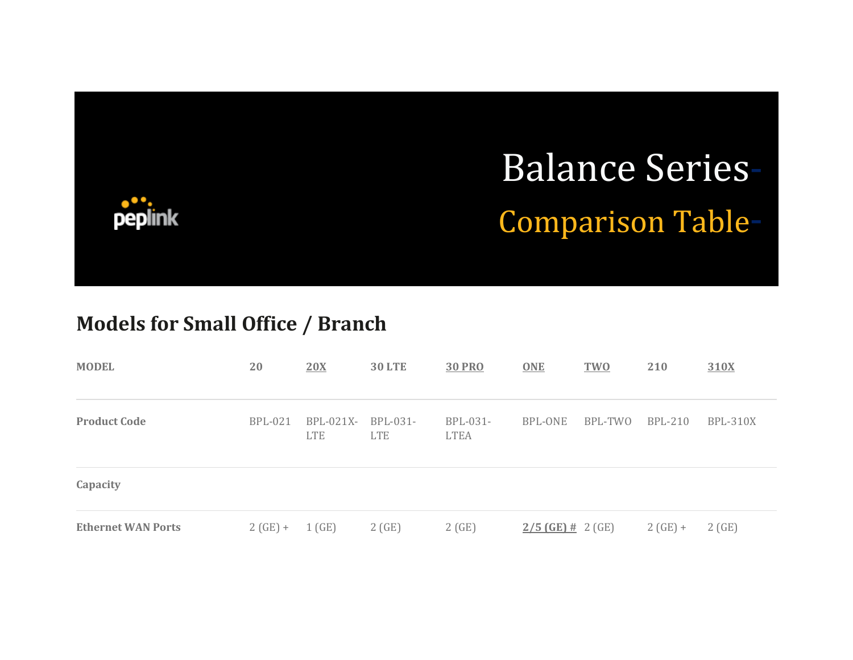

## **Models for Small Office / Branch**

| <b>MODEL</b>              | 20             | 20X                       | <b>30 LTE</b>          | <b>30 PRO</b>           | <b>ONE</b>          | <b>TWO</b> | 210            | 310X            |
|---------------------------|----------------|---------------------------|------------------------|-------------------------|---------------------|------------|----------------|-----------------|
| <b>Product Code</b>       | <b>BPL-021</b> | $BPL-021X-$<br><b>LTE</b> | BPL-031-<br><b>LTE</b> | BPL-031-<br><b>LTEA</b> | BPL-ONE             | BPL-TWO    | <b>BPL-210</b> | <b>BPL-310X</b> |
| Capacity                  |                |                           |                        |                         |                     |            |                |                 |
| <b>Ethernet WAN Ports</b> | $2(GE) +$      | 1(GE)                     | 2(GE)                  | 2(GE)                   | $2/5$ (GE) # 2 (GE) |            | $2(GE) +$      | 2(GE)           |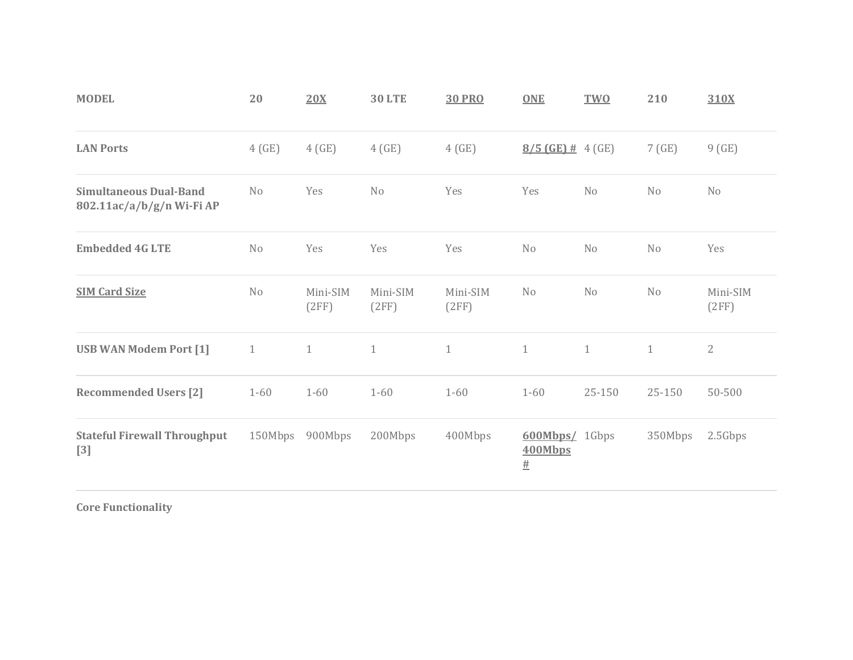| <b>MODEL</b>                                               | 20             | 20X               | <b>30 LTE</b>     | <b>30 PRO</b>     | <b>ONE</b>                                | <b>TWO</b>     | 210            | 310X              |
|------------------------------------------------------------|----------------|-------------------|-------------------|-------------------|-------------------------------------------|----------------|----------------|-------------------|
| <b>LAN Ports</b>                                           | 4(GE)          | 4(GE)             | 4(GE)             | 4(GE)             | $8/5$ (GE) # 4 (GE)                       |                | 7(GE)          | 9(GE)             |
| <b>Simultaneous Dual-Band</b><br>802.11ac/a/b/g/n Wi-Fi AP | N <sub>o</sub> | Yes               | N <sub>o</sub>    | Yes               | Yes                                       | N <sub>0</sub> | No             | No                |
| <b>Embedded 4G LTE</b>                                     | N <sub>o</sub> | Yes               | Yes               | Yes               | N <sub>0</sub>                            | N <sub>o</sub> | No             | Yes               |
| <b>SIM Card Size</b>                                       | No             | Mini-SIM<br>(2FF) | Mini-SIM<br>(2FF) | Mini-SIM<br>(2FF) | N <sub>o</sub>                            | N <sub>0</sub> | N <sub>o</sub> | Mini-SIM<br>(2FF) |
| <b>USB WAN Modem Port [1]</b>                              | $\mathbf{1}$   | $\mathbf{1}$      | $1\,$             | $\mathbf{1}$      | $\mathbf{1}$                              | $\mathbf{1}$   | $\mathbf{1}$   | $\overline{2}$    |
| <b>Recommended Users [2]</b>                               | $1 - 60$       | $1 - 60$          | $1 - 60$          | $1 - 60$          | $1 - 60$                                  | 25-150         | 25-150         | 50-500            |
| <b>Stateful Firewall Throughput</b><br>$[3]$               | 150Mbps        | 900Mbps           | 200Mbps           | 400Mbps           | <b>600Mbps/</b> 1Gbps<br>400Mbps<br>$\pm$ |                | 350Mbps        | 2.5Gbps           |

**Core Functionality**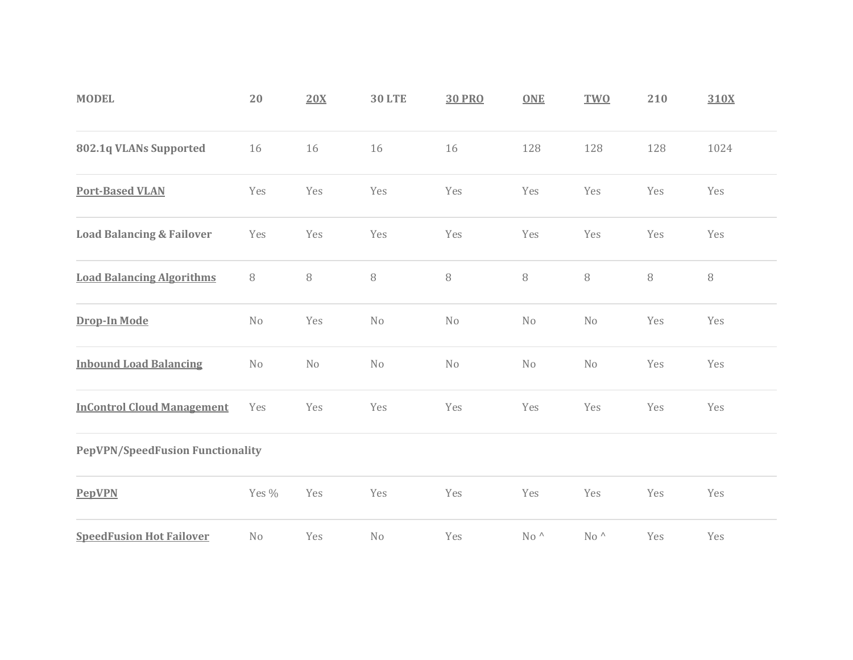| <b>MODEL</b>                            | 20             | 20X            | <b>30 LTE</b> | <b>30 PRO</b> | <b>ONE</b>    | <b>TWO</b>  | 210    | 310X   |
|-----------------------------------------|----------------|----------------|---------------|---------------|---------------|-------------|--------|--------|
| 802.1q VLANs Supported                  | 16             | 16             | 16            | 16            | 128           | 128         | 128    | 1024   |
| <b>Port-Based VLAN</b>                  | Yes            | Yes            | Yes           | Yes           | Yes           | Yes         | Yes    | Yes    |
| <b>Load Balancing &amp; Failover</b>    | Yes            | Yes            | Yes           | Yes           | Yes           | Yes         | Yes    | Yes    |
| <b>Load Balancing Algorithms</b>        | $\, 8$         | $\, 8$         | 8             | $\, 8$        | $\, 8$        | $\, 8$      | $\, 8$ | $\, 8$ |
| Drop-In Mode                            | No             | Yes            | No            | No            | No            | No          | Yes    | Yes    |
| <b>Inbound Load Balancing</b>           | N <sub>o</sub> | N <sub>o</sub> | No            | No            | No            | No          | Yes    | Yes    |
| <b>InControl Cloud Management</b>       | Yes            | Yes            | Yes           | Yes           | Yes           | Yes         | Yes    | Yes    |
| <b>PepVPN/SpeedFusion Functionality</b> |                |                |               |               |               |             |        |        |
| <b>PepVPN</b>                           | Yes %          | Yes            | Yes           | Yes           | Yes           | Yes         | Yes    | Yes    |
| <b>SpeedFusion Hot Failover</b>         | No             | Yes            | No            | Yes           | $No^{\wedge}$ | No $\wedge$ | Yes    | Yes    |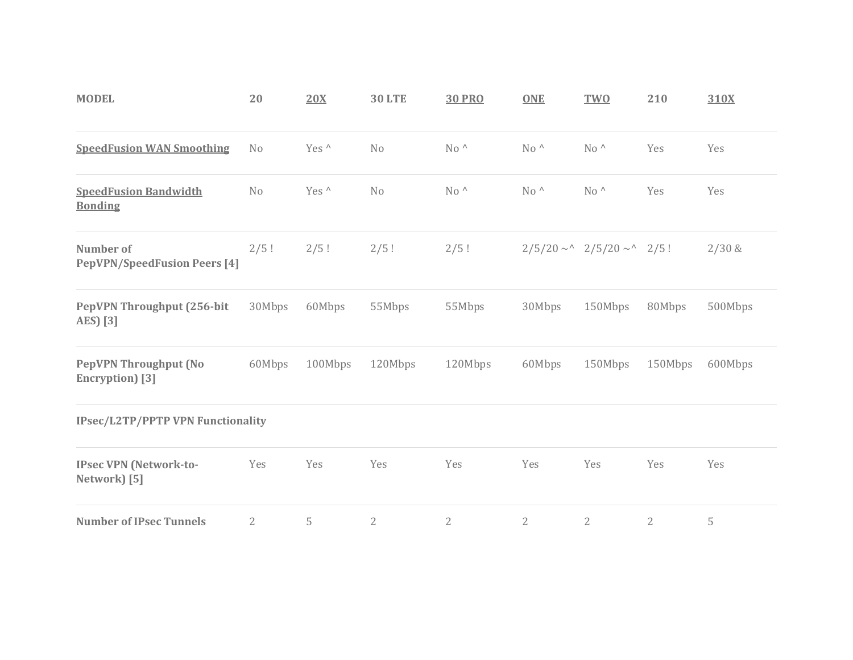| <b>MODEL</b>                                            | 20             | 20X     | <b>30 LTE</b>  | <b>30 PRO</b>  | <b>ONE</b>     | <b>TWO</b>                     | 210          | 310X    |
|---------------------------------------------------------|----------------|---------|----------------|----------------|----------------|--------------------------------|--------------|---------|
| <b>SpeedFusion WAN Smoothing</b>                        | No             | Yes ^   | N <sub>0</sub> | $No^{\wedge}$  | $No^{\wedge}$  | $No^{\wedge}$                  | Yes          | Yes     |
| <b>SpeedFusion Bandwidth</b><br><b>Bonding</b>          | No             | Yes ^   | No             | $No^{\wedge}$  | $No^{\wedge}$  | $No^{\wedge}$                  | Yes          | Yes     |
| <b>Number of</b><br><b>PepVPN/SpeedFusion Peers [4]</b> | 2/5!           | 2/5!    | 2/5!           | 2/5!           |                | $2/5/20 \sim 2/5/20 \sim 2/5!$ |              | 2/30 &  |
| PepVPN Throughput (256-bit<br>AES) [3]                  | 30Mbps         | 60Mbps  | 55Mbps         | 55Mbps         | 30Mbps         | 150Mbps                        | 80Mbps       | 500Mbps |
| <b>PepVPN Throughput (No</b><br>Encryption) [3]         | 60Mbps         | 100Mbps | 120Mbps        | 120Mbps        | 60Mbps         | 150Mbps                        | 150Mbps      | 600Mbps |
| <b>IPsec/L2TP/PPTP VPN Functionality</b>                |                |         |                |                |                |                                |              |         |
| <b>IPsec VPN (Network-to-</b><br>Network) [5]           | Yes            | Yes     | Yes            | Yes            | Yes            | Yes                            | Yes          | Yes     |
| <b>Number of IPsec Tunnels</b>                          | $\overline{2}$ | 5       | $\overline{2}$ | $\overline{2}$ | $\overline{2}$ | $\overline{2}$                 | $\mathbf{2}$ | 5       |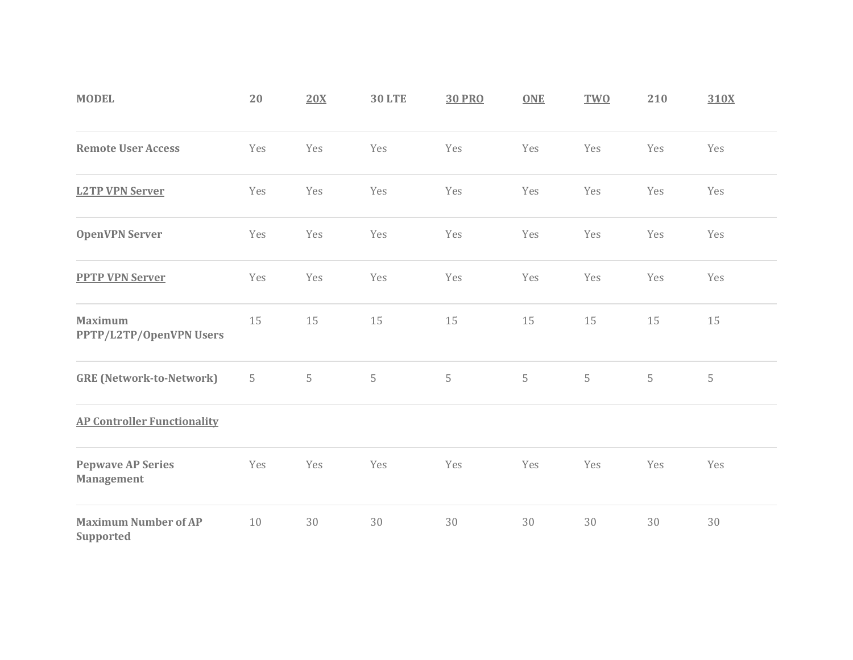| <b>MODEL</b>                                  | 20  | 20X | <b>30 LTE</b> | <b>30 PRO</b> | <b>ONE</b> | <b>TWO</b> | 210 | 310X |
|-----------------------------------------------|-----|-----|---------------|---------------|------------|------------|-----|------|
| <b>Remote User Access</b>                     | Yes | Yes | Yes           | Yes           | Yes        | Yes        | Yes | Yes  |
| <b>L2TP VPN Server</b>                        | Yes | Yes | Yes           | Yes           | Yes        | Yes        | Yes | Yes  |
| <b>OpenVPN Server</b>                         | Yes | Yes | Yes           | Yes           | Yes        | Yes        | Yes | Yes  |
| <b>PPTP VPN Server</b>                        | Yes | Yes | Yes           | Yes           | Yes        | Yes        | Yes | Yes  |
| <b>Maximum</b><br>PPTP/L2TP/OpenVPN Users     | 15  | 15  | 15            | 15            | 15         | 15         | 15  | 15   |
| <b>GRE (Network-to-Network)</b>               | 5   | 5   | 5             | 5             | 5          | 5          | 5   | 5    |
| <b>AP Controller Functionality</b>            |     |     |               |               |            |            |     |      |
| <b>Pepwave AP Series</b><br><b>Management</b> | Yes | Yes | Yes           | Yes           | Yes        | Yes        | Yes | Yes  |
| <b>Maximum Number of AP</b><br>Supported      | 10  | 30  | 30            | 30            | 30         | 30         | 30  | 30   |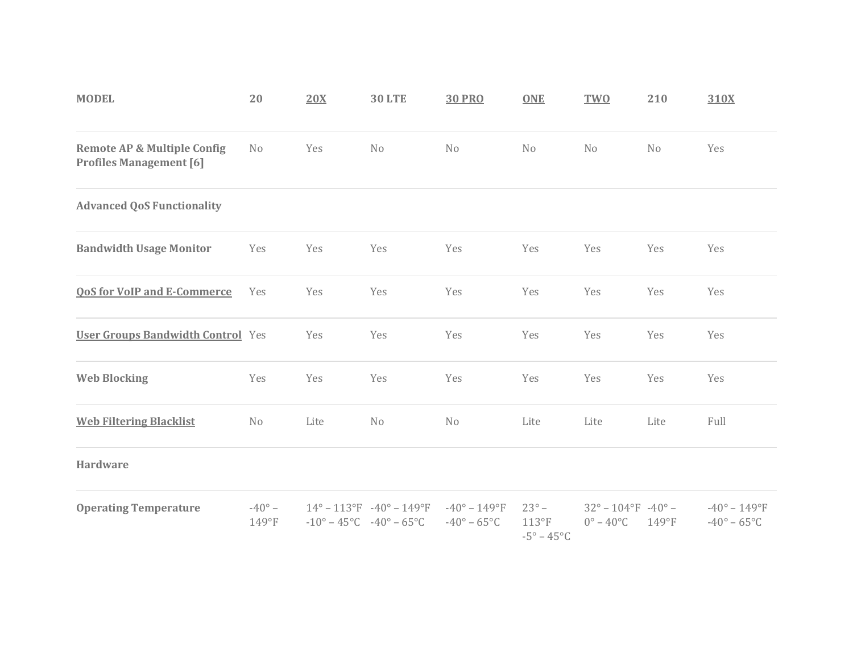| <b>MODEL</b>                                                             | 20                          | 20X  | <b>30 LTE</b>                                                                                                        | <b>30 PRO</b>                                            | <b>ONE</b>                                                    | <b>TWO</b>                                                           | 210      | 310X                                                         |
|--------------------------------------------------------------------------|-----------------------------|------|----------------------------------------------------------------------------------------------------------------------|----------------------------------------------------------|---------------------------------------------------------------|----------------------------------------------------------------------|----------|--------------------------------------------------------------|
| <b>Remote AP &amp; Multiple Config</b><br><b>Profiles Management [6]</b> | No                          | Yes  | N <sub>0</sub>                                                                                                       | N <sub>0</sub>                                           | N <sub>o</sub>                                                | N <sub>0</sub>                                                       | No       | Yes                                                          |
| <b>Advanced QoS Functionality</b>                                        |                             |      |                                                                                                                      |                                                          |                                                               |                                                                      |          |                                                              |
| <b>Bandwidth Usage Monitor</b>                                           | Yes                         | Yes  | Yes                                                                                                                  | Yes                                                      | Yes                                                           | Yes                                                                  | Yes      | Yes                                                          |
| <b>QoS for VoIP and E-Commerce</b>                                       | Yes                         | Yes  | Yes                                                                                                                  | Yes                                                      | Yes                                                           | Yes                                                                  | Yes      | Yes                                                          |
| <b>User Groups Bandwidth Control</b> Yes                                 |                             | Yes  | Yes                                                                                                                  | Yes                                                      | Yes                                                           | Yes                                                                  | Yes      | Yes                                                          |
| <b>Web Blocking</b>                                                      | Yes                         | Yes  | Yes                                                                                                                  | Yes                                                      | Yes                                                           | Yes                                                                  | Yes      | Yes                                                          |
| <b>Web Filtering Blacklist</b>                                           | No                          | Lite | N <sub>0</sub>                                                                                                       | N <sub>0</sub>                                           | Lite                                                          | Lite                                                                 | Lite     | Full                                                         |
| <b>Hardware</b>                                                          |                             |      |                                                                                                                      |                                                          |                                                               |                                                                      |          |                                                              |
| <b>Operating Temperature</b>                                             | $-40^{\circ}$ –<br>$149°$ F |      | $14^{\circ} - 113^{\circ}F - 40^{\circ} - 149^{\circ}F$<br>$-10^{\circ} - 45^{\circ}$ C $-40^{\circ} - 65^{\circ}$ C | $-40^{\circ} - 149^{\circ}F$<br>$-40^\circ - 65^\circ C$ | $23^\circ$ –<br>$113^{\circ}F$<br>$-5^{\circ} - 45^{\circ}$ C | $32^{\circ} - 104^{\circ}F - 40^{\circ} -$<br>$0^\circ - 40^\circ C$ | $149°$ F | $-40^{\circ} - 149^{\circ}F$<br>$-40^{\circ} - 65^{\circ}$ C |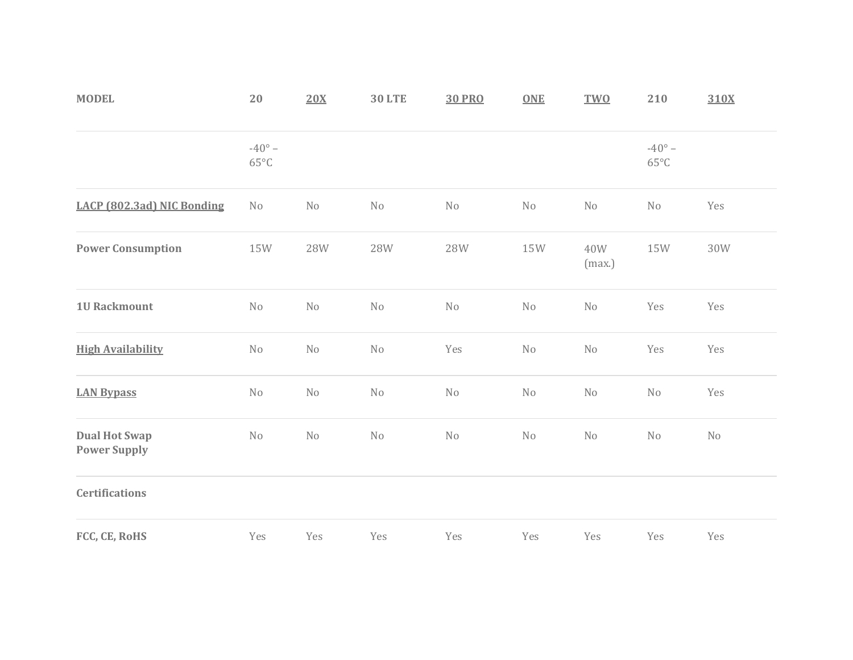| <b>MODEL</b>                                | $20\,$                            | 20X        | <b>30 LTE</b> | <b>30 PRO</b> | <b>ONE</b> | <b>TWO</b>    | 210                               | 310X |
|---------------------------------------------|-----------------------------------|------------|---------------|---------------|------------|---------------|-----------------------------------|------|
|                                             | $-40^{\circ}$ -<br>$65^{\circ}$ C |            |               |               |            |               | $-40^{\circ}$ -<br>$65^{\circ}$ C |      |
| LACP (802.3ad) NIC Bonding                  | No                                | $\rm No$   | No            | No            | $\rm No$   | No            | $\rm No$                          | Yes  |
| <b>Power Consumption</b>                    | 15W                               | <b>28W</b> | 28W           | <b>28W</b>    | 15W        | 40W<br>(max.) | 15W                               | 30W  |
| <b>1U Rackmount</b>                         | No                                | $\rm No$   | No            | No            | $\rm No$   | No            | Yes                               | Yes  |
| <b>High Availability</b>                    | $\rm No$                          | No         | No            | Yes           | $\rm No$   | No            | Yes                               | Yes  |
| <b>LAN Bypass</b>                           | No                                | No         | No            | No            | No         | No            | No                                | Yes  |
| <b>Dual Hot Swap</b><br><b>Power Supply</b> | No                                | No         | No            | No            | No         | No            | No                                | No   |
| <b>Certifications</b>                       |                                   |            |               |               |            |               |                                   |      |
| FCC, CE, RoHS                               | Yes                               | Yes        | Yes           | Yes           | Yes        | Yes           | Yes                               | Yes  |